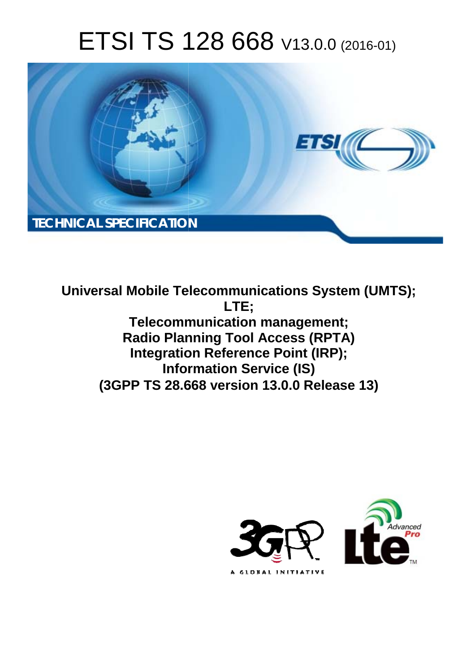# ETSI TS 128 668 V13.0.0 (2016-01)



**Universal Mobile Tel elecommunications System ( (UMTS); Telecomm munication management; Radio Plan anning Tool Access (RPTA) Integration Reference Point (IRP); Infor ormation Service (IS) (3GPP TS 28.6 .668 version 13.0.0 Release 13 13) LTE;** 

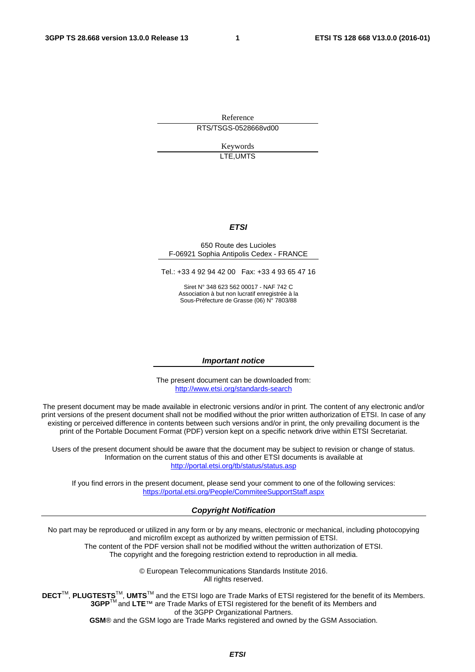Reference RTS/TSGS-0528668vd00

> Keywords LTE,UMTS

#### *ETSI*

#### 650 Route des Lucioles F-06921 Sophia Antipolis Cedex - FRANCE

Tel.: +33 4 92 94 42 00 Fax: +33 4 93 65 47 16

Siret N° 348 623 562 00017 - NAF 742 C Association à but non lucratif enregistrée à la Sous-Préfecture de Grasse (06) N° 7803/88

#### *Important notice*

The present document can be downloaded from: <http://www.etsi.org/standards-search>

The present document may be made available in electronic versions and/or in print. The content of any electronic and/or print versions of the present document shall not be modified without the prior written authorization of ETSI. In case of any existing or perceived difference in contents between such versions and/or in print, the only prevailing document is the print of the Portable Document Format (PDF) version kept on a specific network drive within ETSI Secretariat.

Users of the present document should be aware that the document may be subject to revision or change of status. Information on the current status of this and other ETSI documents is available at <http://portal.etsi.org/tb/status/status.asp>

If you find errors in the present document, please send your comment to one of the following services: <https://portal.etsi.org/People/CommiteeSupportStaff.aspx>

#### *Copyright Notification*

No part may be reproduced or utilized in any form or by any means, electronic or mechanical, including photocopying and microfilm except as authorized by written permission of ETSI.

The content of the PDF version shall not be modified without the written authorization of ETSI. The copyright and the foregoing restriction extend to reproduction in all media.

> © European Telecommunications Standards Institute 2016. All rights reserved.

**DECT**TM, **PLUGTESTS**TM, **UMTS**TM and the ETSI logo are Trade Marks of ETSI registered for the benefit of its Members. **3GPP**TM and **LTE**™ are Trade Marks of ETSI registered for the benefit of its Members and of the 3GPP Organizational Partners.

**GSM**® and the GSM logo are Trade Marks registered and owned by the GSM Association.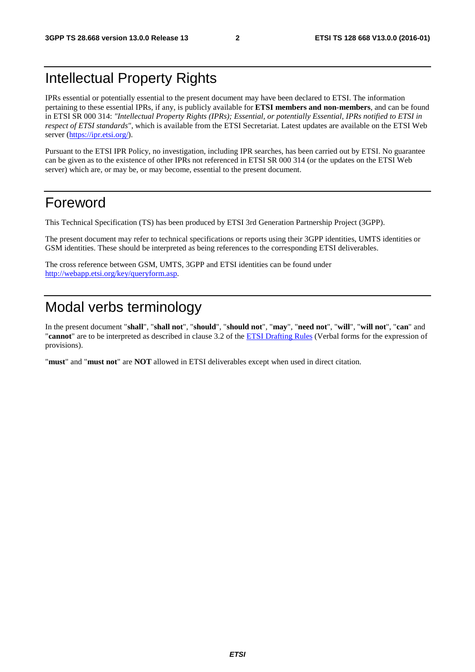## Intellectual Property Rights

IPRs essential or potentially essential to the present document may have been declared to ETSI. The information pertaining to these essential IPRs, if any, is publicly available for **ETSI members and non-members**, and can be found in ETSI SR 000 314: *"Intellectual Property Rights (IPRs); Essential, or potentially Essential, IPRs notified to ETSI in respect of ETSI standards"*, which is available from the ETSI Secretariat. Latest updates are available on the ETSI Web server [\(https://ipr.etsi.org/](https://ipr.etsi.org/)).

Pursuant to the ETSI IPR Policy, no investigation, including IPR searches, has been carried out by ETSI. No guarantee can be given as to the existence of other IPRs not referenced in ETSI SR 000 314 (or the updates on the ETSI Web server) which are, or may be, or may become, essential to the present document.

## Foreword

This Technical Specification (TS) has been produced by ETSI 3rd Generation Partnership Project (3GPP).

The present document may refer to technical specifications or reports using their 3GPP identities, UMTS identities or GSM identities. These should be interpreted as being references to the corresponding ETSI deliverables.

The cross reference between GSM, UMTS, 3GPP and ETSI identities can be found under [http://webapp.etsi.org/key/queryform.asp.](http://webapp.etsi.org/key/queryform.asp)

## Modal verbs terminology

In the present document "**shall**", "**shall not**", "**should**", "**should not**", "**may**", "**need not**", "**will**", "**will not**", "**can**" and "**cannot**" are to be interpreted as described in clause 3.2 of the [ETSI Drafting Rules](http://portal.etsi.org/Help/editHelp!/Howtostart/ETSIDraftingRules.aspx) (Verbal forms for the expression of provisions).

"**must**" and "**must not**" are **NOT** allowed in ETSI deliverables except when used in direct citation.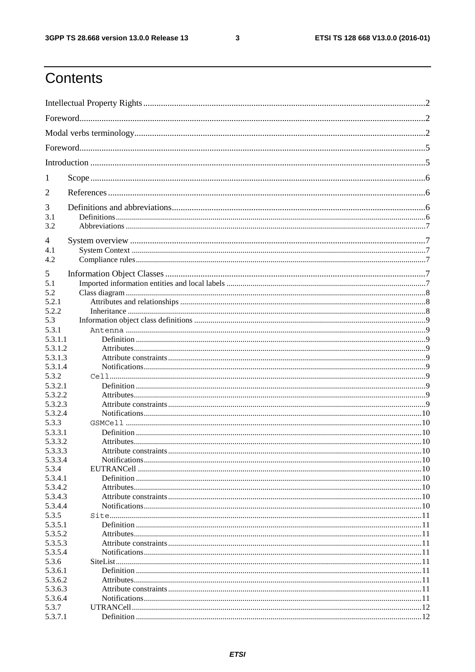$\mathbf{3}$ 

## Contents

| 1                  |  |
|--------------------|--|
| $\overline{2}$     |  |
| 3                  |  |
| 3.1                |  |
| 3.2                |  |
| 4                  |  |
| 4.1                |  |
| 4.2                |  |
| 5                  |  |
| 5.1                |  |
| 5.2                |  |
| 5.2.1              |  |
| 5.2.2              |  |
| 5.3                |  |
| 5.3.1              |  |
| 5.3.1.1            |  |
| 5.3.1.2            |  |
| 5.3.1.3            |  |
| 5.3.1.4            |  |
| 5.3.2              |  |
| 5.3.2.1            |  |
| 5.3.2.2            |  |
| 5.3.2.3            |  |
| 5.3.2.4            |  |
| 5.3.3              |  |
| 5.3.3.1            |  |
| 5.3.3.2            |  |
| 5.3.3.3            |  |
| 5.3.3.4            |  |
| 5.3.4              |  |
| 5.3.4.1            |  |
| 5.3.4.2            |  |
| 5.3.4.3            |  |
| 5.3.4.4            |  |
| 5.3.5              |  |
| 5.3.5.1            |  |
| 5.3.5.2            |  |
| 5.3.5.3<br>5.3.5.4 |  |
| 5.3.6              |  |
| 5.3.6.1            |  |
| 5.3.6.2            |  |
| 5.3.6.3            |  |
| 5.3.6.4            |  |
| 5.3.7              |  |
| 5.3.7.1            |  |
|                    |  |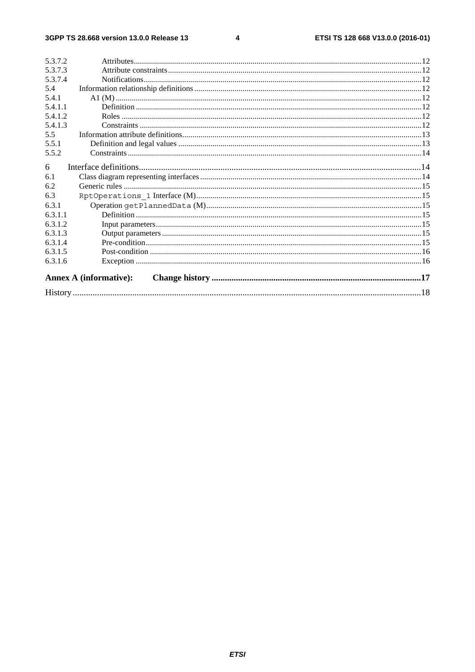$\overline{\mathbf{4}}$ 

| 5.3.7.2 |                               |  |
|---------|-------------------------------|--|
| 5.3.7.3 |                               |  |
| 5.3.7.4 |                               |  |
| 5.4     |                               |  |
| 5.4.1   |                               |  |
| 5.4.1.1 |                               |  |
| 5.4.1.2 |                               |  |
| 5.4.1.3 |                               |  |
| 5.5     |                               |  |
| 5.5.1   |                               |  |
| 5.5.2   |                               |  |
| 6       |                               |  |
| 6.1     |                               |  |
| 6.2     |                               |  |
| 6.3     |                               |  |
| 6.3.1   |                               |  |
|         |                               |  |
| 6.3.1.1 |                               |  |
| 6.3.1.2 |                               |  |
| 6.3.1.3 |                               |  |
| 6.3.1.4 |                               |  |
| 6.3.1.5 |                               |  |
| 6.3.1.6 |                               |  |
|         | <b>Annex A (informative):</b> |  |
|         |                               |  |
|         |                               |  |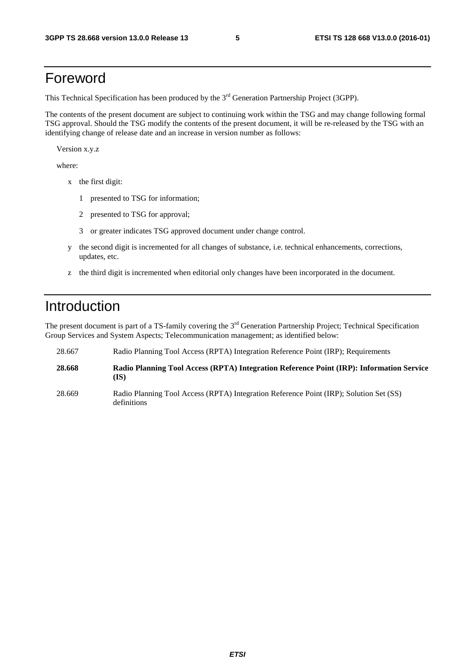## Foreword

This Technical Specification has been produced by the 3<sup>rd</sup> Generation Partnership Project (3GPP).

The contents of the present document are subject to continuing work within the TSG and may change following formal TSG approval. Should the TSG modify the contents of the present document, it will be re-released by the TSG with an identifying change of release date and an increase in version number as follows:

Version x.y.z

where:

- x the first digit:
	- 1 presented to TSG for information;
	- 2 presented to TSG for approval;
	- 3 or greater indicates TSG approved document under change control.
- y the second digit is incremented for all changes of substance, i.e. technical enhancements, corrections, updates, etc.
- z the third digit is incremented when editorial only changes have been incorporated in the document.

## Introduction

The present document is part of a TS-family covering the 3<sup>rd</sup> Generation Partnership Project; Technical Specification Group Services and System Aspects; Telecommunication management; as identified below:

| 28.667 | Radio Planning Tool Access (RPTA) Integration Reference Point (IRP); Requirements                |
|--------|--------------------------------------------------------------------------------------------------|
| 28.668 | Radio Planning Tool Access (RPTA) Integration Reference Point (IRP): Information Service<br>(IS) |

28.669 Radio Planning Tool Access (RPTA) Integration Reference Point (IRP); Solution Set (SS) definitions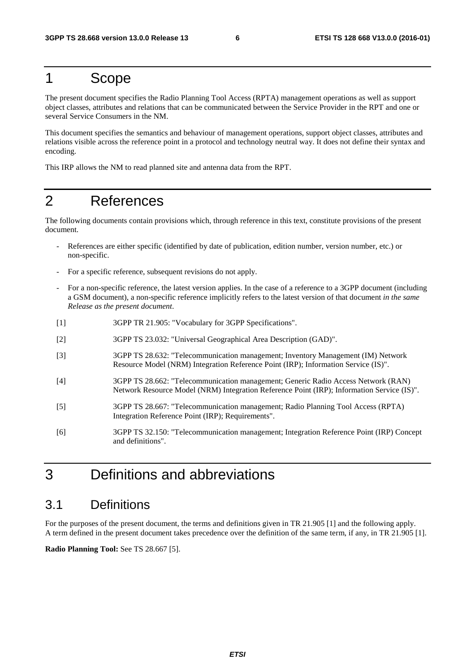## 1 Scope

The present document specifies the Radio Planning Tool Access (RPTA) management operations as well as support object classes, attributes and relations that can be communicated between the Service Provider in the RPT and one or several Service Consumers in the NM.

This document specifies the semantics and behaviour of management operations, support object classes, attributes and relations visible across the reference point in a protocol and technology neutral way. It does not define their syntax and encoding.

This IRP allows the NM to read planned site and antenna data from the RPT.

## 2 References

The following documents contain provisions which, through reference in this text, constitute provisions of the present document.

- References are either specific (identified by date of publication, edition number, version number, etc.) or non-specific.
- For a specific reference, subsequent revisions do not apply.
- For a non-specific reference, the latest version applies. In the case of a reference to a 3GPP document (including a GSM document), a non-specific reference implicitly refers to the latest version of that document *in the same Release as the present document*.
- [1] 3GPP TR 21.905: "Vocabulary for 3GPP Specifications".
- [2] 3GPP TS 23.032: "Universal Geographical Area Description (GAD)".
- [3] 3GPP TS 28.632: "Telecommunication management; Inventory Management (IM) Network Resource Model (NRM) Integration Reference Point (IRP); Information Service (IS)".
- [4] 3GPP TS 28.662: "Telecommunication management; Generic Radio Access Network (RAN) Network Resource Model (NRM) Integration Reference Point (IRP); Information Service (IS)".
- [5] 3GPP TS 28.667: "Telecommunication management; Radio Planning Tool Access (RPTA) Integration Reference Point (IRP); Requirements".
- [6] 3GPP TS 32.150: "Telecommunication management; Integration Reference Point (IRP) Concept and definitions".

## 3 Definitions and abbreviations

## 3.1 Definitions

For the purposes of the present document, the terms and definitions given in TR 21.905 [1] and the following apply. A term defined in the present document takes precedence over the definition of the same term, if any, in TR 21.905 [1].

**Radio Planning Tool:** See TS 28.667 [5].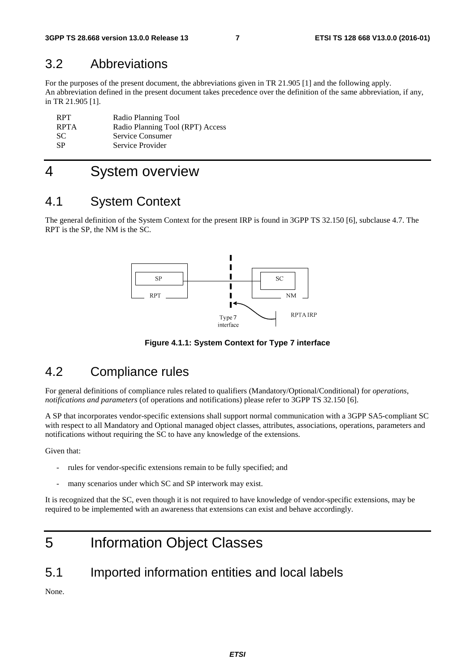## 3.2 Abbreviations

For the purposes of the present document, the abbreviations given in TR 21.905 [1] and the following apply. An abbreviation defined in the present document takes precedence over the definition of the same abbreviation, if any, in TR 21.905 [1].

| <b>RPT</b>  | Radio Planning Tool              |
|-------------|----------------------------------|
| <b>RPTA</b> | Radio Planning Tool (RPT) Access |
| SC.         | Service Consumer                 |
| -SP         | Service Provider                 |

## 4 System overview

## 4.1 System Context

The general definition of the System Context for the present IRP is found in 3GPP TS 32.150 [6], subclause 4.7. The RPT is the SP, the NM is the SC.



**Figure 4.1.1: System Context for Type 7 interface** 

## 4.2 Compliance rules

For general definitions of compliance rules related to qualifiers (Mandatory/Optional/Conditional) for *operations*, *notifications and parameters* (of operations and notifications) please refer to 3GPP TS 32.150 [6].

A SP that incorporates vendor-specific extensions shall support normal communication with a 3GPP SA5-compliant SC with respect to all Mandatory and Optional managed object classes, attributes, associations, operations, parameters and notifications without requiring the SC to have any knowledge of the extensions.

Given that:

- rules for vendor-specific extensions remain to be fully specified; and
- many scenarios under which SC and SP interwork may exist.

It is recognized that the SC, even though it is not required to have knowledge of vendor-specific extensions, may be required to be implemented with an awareness that extensions can exist and behave accordingly.

## 5 Information Object Classes

## 5.1 Imported information entities and local labels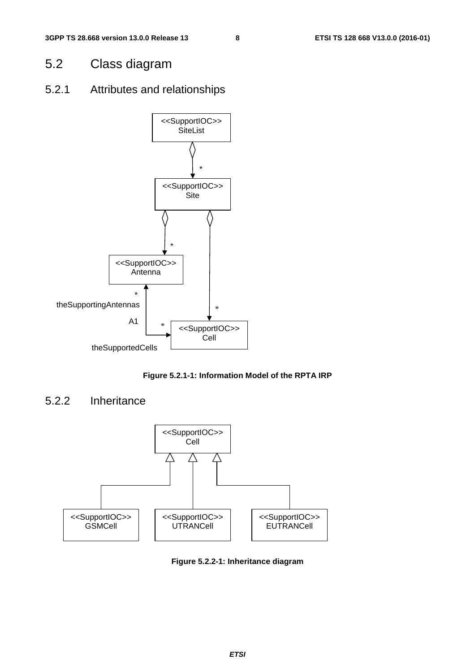## 5.2 Class diagram

## 5.2.1 Attributes and relationships



**Figure 5.2.1-1: Information Model of the RPTA IRP** 

## 5.2.2 Inheritance



**Figure 5.2.2-1: Inheritance diagram**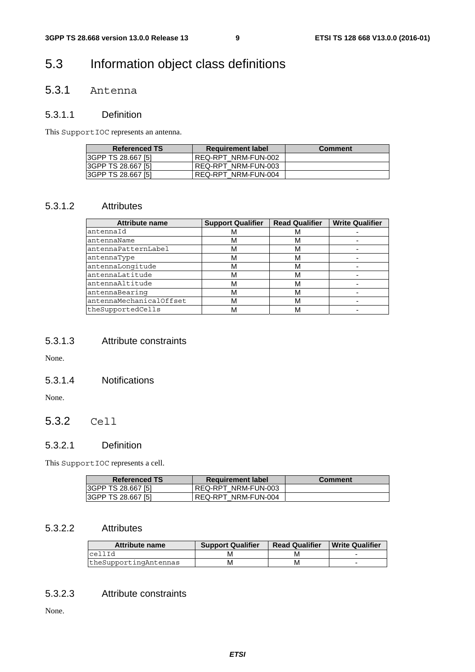## 5.3 Information object class definitions

## 5.3.1 Antenna

### 5.3.1.1 Definition

This SupportIOC represents an antenna.

| <b>Referenced TS</b> | <b>Requirement label</b> | <b>Comment</b> |
|----------------------|--------------------------|----------------|
| 3GPP TS 28.667 [5]   | REQ-RPT NRM-FUN-002      |                |
| 3GPP TS 28.667 [5]   | REQ-RPT NRM-FUN-003      |                |
| 3GPP TS 28.667 [5]   | REQ-RPT NRM-FUN-004      |                |

### 5.3.1.2 Attributes

| <b>Attribute name</b>   | <b>Support Qualifier</b> | <b>Read Qualifier</b> | <b>Write Qualifier</b> |
|-------------------------|--------------------------|-----------------------|------------------------|
| antennaId               | м                        | м                     |                        |
| antennaName             | М                        | м                     |                        |
| antennaPatternLabel     | М                        | м                     |                        |
| antennaType             | М                        | м                     |                        |
| antennaLongitude        | М                        | м                     |                        |
| antennaLatitude         | м                        | м                     |                        |
| antennaAltitude         | М                        | м                     |                        |
| antennaBearing          | М                        | м                     |                        |
| antennaMechanicalOffset | М                        | м                     |                        |
| theSupportedCells       | M                        | M                     |                        |

### 5.3.1.3 Attribute constraints

None.

### 5.3.1.4 Notifications

None.

## 5.3.2 Cell

### 5.3.2.1 Definition

This SupportIOC represents a cell.

| <b>Referenced TS</b>      | <b>Requirement label</b> | <b>Comment</b> |
|---------------------------|--------------------------|----------------|
| <b>SGPP TS 28.667 [5]</b> | REQ-RPT NRM-FUN-003      |                |
| <b>SGPP TS 28.667 [5]</b> | REQ-RPT NRM-FUN-004      |                |

### 5.3.2.2 Attributes

| <b>Attribute name</b> | <b>Support Qualifier</b> | <b>Read Qualifier</b> | <b>Write Qualifier</b> |
|-----------------------|--------------------------|-----------------------|------------------------|
| cellId                |                          | M                     |                        |
| theSupportingAntennas |                          | M                     |                        |

### 5.3.2.3 Attribute constraints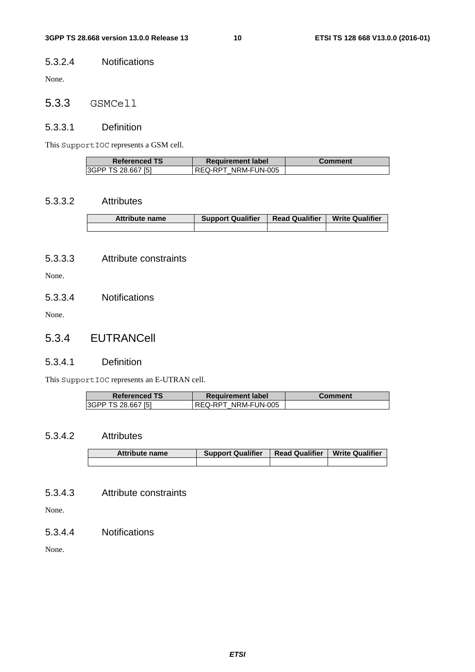#### 5.3.2.4 Notifications

None.

## 5.3.3 GSMCell

### 5.3.3.1 Definition

This SupportIOC represents a GSM cell.

| <b>Referenced TS</b>      | <b>Requirement label</b> | Comment |
|---------------------------|--------------------------|---------|
| <b>3GPP TS 28.667 [5]</b> | REQ-RPT NRM-FUN-005      |         |

### 5.3.3.2 Attributes

| <b>Attribute name</b> | <b>Support Qualifier</b> | <b>Read Qualifier</b> | <b>Write Qualifier</b> |
|-----------------------|--------------------------|-----------------------|------------------------|
|                       |                          |                       |                        |

### 5.3.3.3 Attribute constraints

None.

5.3.3.4 Notifications

None.

5.3.4 EUTRANCell

#### 5.3.4.1 Definition

This SupportIOC represents an E-UTRAN cell.

| <b>Referenced TS</b> | <b>Requirement label</b> | Comment |
|----------------------|--------------------------|---------|
| 3GPP TS 28.667 [5]   | REQ-RPT NRM-FUN-005      |         |

### 5.3.4.2 Attributes

| <b>Attribute name</b> | <b>Support Qualifier</b> | <b>Read Qualifier</b> | <b>Write Qualifier</b> |
|-----------------------|--------------------------|-----------------------|------------------------|
|                       |                          |                       |                        |

### 5.3.4.3 Attribute constraints

None.

5.3.4.4 Notifications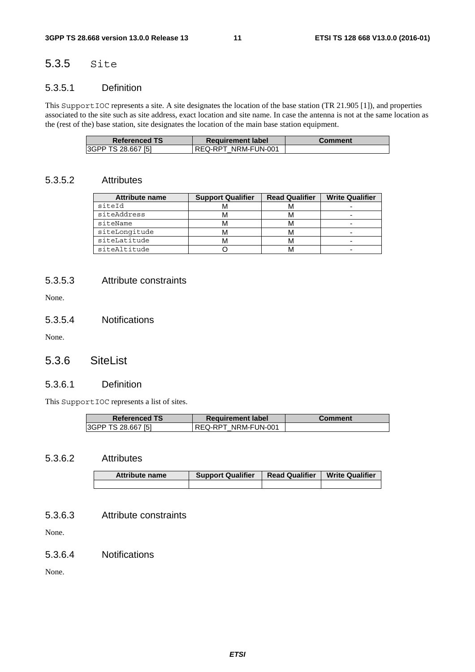## 5.3.5 Site

### 5.3.5.1 Definition

This SupportIOC represents a site. A site designates the location of the base station (TR 21.905 [1]), and properties associated to the site such as site address, exact location and site name. In case the antenna is not at the same location as the (rest of the) base station, site designates the location of the main base station equipment.

| <b>Referenced TS</b> | <b>Requirement label</b> | Comment |
|----------------------|--------------------------|---------|
| 3GPP TS 28.667 [5]   | REQ-RPT NRM-FUN-001      |         |

### 5.3.5.2 Attributes

| <b>Attribute name</b> | <b>Support Qualifier</b> | <b>Read Qualifier</b> | <b>Write Qualifier</b> |
|-----------------------|--------------------------|-----------------------|------------------------|
| siteId                | IVI                      |                       |                        |
| siteAddress           | ΙVΙ                      |                       |                        |
| siteName              | м                        | ΙVΙ                   |                        |
| siteLongitude         | M                        |                       |                        |
| siteLatitude          |                          |                       | -                      |
| siteAltitude          |                          |                       |                        |

### 5.3.5.3 Attribute constraints

None.

### 5.3.5.4 Notifications

None.

## 5.3.6 SiteList

#### 5.3.6.1 Definition

This SupportIOC represents a list of sites.

| <b>Referenced TS</b>      | <b>Requirement label</b> | Comment |
|---------------------------|--------------------------|---------|
| <b>SGPP TS 28.667 [5]</b> | REQ-RPT NRM-FUN-001      |         |

#### 5.3.6.2 Attributes

| <b>Attribute name</b> | <b>Support Qualifier</b> | <b>Read Qualifier</b> | <b>Write Qualifier</b> |
|-----------------------|--------------------------|-----------------------|------------------------|
|                       |                          |                       |                        |

### 5.3.6.3 Attribute constraints

None.

#### 5.3.6.4 Notifications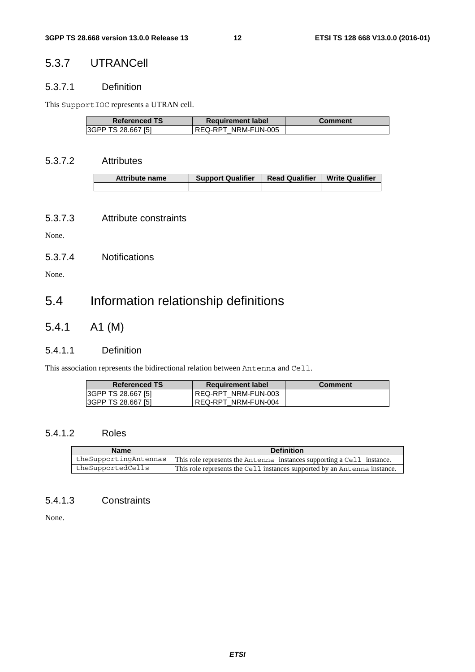## 5.3.7 UTRANCell

### 5.3.7.1 Definition

This SupportIOC represents a UTRAN cell.

| <b>Referenced TS</b> | <b>Requirement label</b> | <b>Comment</b> |
|----------------------|--------------------------|----------------|
| 3GPP TS 28.667 [5]   | REQ-RPT NRM-FUN-005      |                |

### 5.3.7.2 Attributes

| <b>Attribute name</b> | <b>Support Qualifier</b> | <b>Read Qualifier</b> | <b>Write Qualifier</b> |
|-----------------------|--------------------------|-----------------------|------------------------|
|                       |                          |                       |                        |

### 5.3.7.3 Attribute constraints

None.

### 5.3.7.4 Notifications

None.

## 5.4 Information relationship definitions

5.4.1 A1 (M)

### 5.4.1.1 Definition

This association represents the bidirectional relation between Antenna and Cell.

| <b>Referenced TS</b> | <b>Requirement label</b> | <b>Comment</b> |
|----------------------|--------------------------|----------------|
| 3GPP TS 28.667 [5]   | REQ-RPT NRM-FUN-003      |                |
| 3GPP TS 28.667 [5]   | REQ-RPT NRM-FUN-004      |                |

### 5.4.1.2 Roles

| <b>Name</b>           | <b>Definition</b>                                                         |  |
|-----------------------|---------------------------------------------------------------------------|--|
| theSupportingAntennas | This role represents the Antenna instances supporting a Cell instance.    |  |
| theSupportedCells     | This role represents the Cell instances supported by an Antenna instance. |  |

### 5.4.1.3 Constraints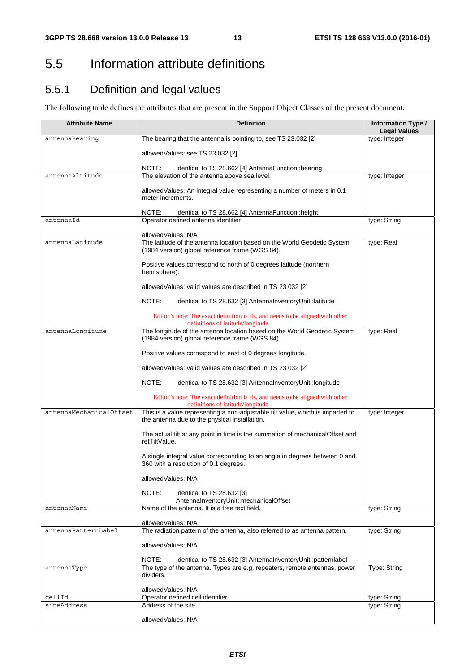## 5.5 Information attribute definitions

## 5.5.1 Definition and legal values

The following table defines the attributes that are present in the Support Object Classes of the present document.

| <b>Attribute Name</b>   | <b>Definition</b>                                                                                                               | <b>Information Type /</b>    |
|-------------------------|---------------------------------------------------------------------------------------------------------------------------------|------------------------------|
|                         |                                                                                                                                 | <b>Legal Values</b>          |
| antennaBearing          | The bearing that the antenna is pointing to, see TS 23.032 [2]                                                                  | type: Integer                |
|                         | allowedValues: see TS 23.032 [2]                                                                                                |                              |
|                         | NOTE:<br>Identical to TS 28.662 [4] AntennaFunction::bearing                                                                    |                              |
| antennaAltitude         | The elevation of the antenna above sea level.                                                                                   | type: Integer                |
|                         | allowed Values: An integral value representing a number of meters in 0.1<br>meter increments.                                   |                              |
|                         | NOTE:<br>Identical to TS 28.662 [4] AntennaFunction::height                                                                     |                              |
| antennaId               | Operator defined antenna identifier                                                                                             | type: String                 |
|                         | allowedValues: N/A                                                                                                              |                              |
| antennaLatitude         | The latitude of the antenna location based on the World Geodetic System<br>(1984 version) global reference frame (WGS 84).      | type: Real                   |
|                         | Positive values correspond to north of 0 degrees latitude (northern<br>hemisphere).                                             |                              |
|                         | allowed Values: valid values are described in TS 23.032 [2]                                                                     |                              |
|                         | NOTE:<br>Identical to TS 28.632 [3] AntennalnventoryUnit::latitude                                                              |                              |
|                         | Editor"s note: The exact definition is ffs, and needs to be aligned with other<br>definitions of latitude/longitude.            |                              |
| antennaLongitude        | The longitude of the antenna location based on the World Geodetic System<br>(1984 version) global reference frame (WGS 84).     | type: Real                   |
|                         | Positive values correspond to east of 0 degrees longitude.                                                                      |                              |
|                         | allowed Values: valid values are described in TS 23.032 [2]                                                                     |                              |
|                         | NOTE:<br>Identical to TS 28.632 [3] AntennalnventoryUnit::longitude                                                             |                              |
|                         | Editor"s note: The exact definition is ffs, and needs to be aligned with other<br>definitions of latitude/longitude.            |                              |
| antennaMechanicalOffset | This is a value representing a non-adjustable tilt value, which is imparted to<br>the antenna due to the physical installation. | type: Integer                |
|                         | The actual tilt at any point in time is the summation of mechanical Offset and<br>retTiltValue.                                 |                              |
|                         | A single integral value corresponding to an angle in degrees between 0 and<br>360 with a resolution of 0.1 degrees.             |                              |
|                         | allowedValues: N/A                                                                                                              |                              |
|                         | NOTE:<br>Identical to TS 28.632 [3]<br>AntennalnventoryUnit::mechanicalOffset                                                   |                              |
| antennaName             | Name of the antenna. It is a free text field.                                                                                   | type: String                 |
|                         | allowedValues: N/A                                                                                                              |                              |
| antennaPatternLabel     | The radiation pattern of the antenna, also referred to as antenna pattern.                                                      | type: String                 |
|                         | allowedValues: N/A                                                                                                              |                              |
|                         | NOTE:<br>Identical to TS 28.632 [3] AntennalnventoryUnit::patternlabel                                                          |                              |
| antennaType             | The type of the antenna. Types are e.g. repeaters, remote antennas, power                                                       | Type: String                 |
|                         | dividers.                                                                                                                       |                              |
|                         | allowedValues: N/A                                                                                                              |                              |
| cellId<br>siteAddress   | Operator defined cell identifier.<br>Address of the site                                                                        | type: String<br>type: String |
|                         |                                                                                                                                 |                              |
|                         | allowedValues: N/A                                                                                                              |                              |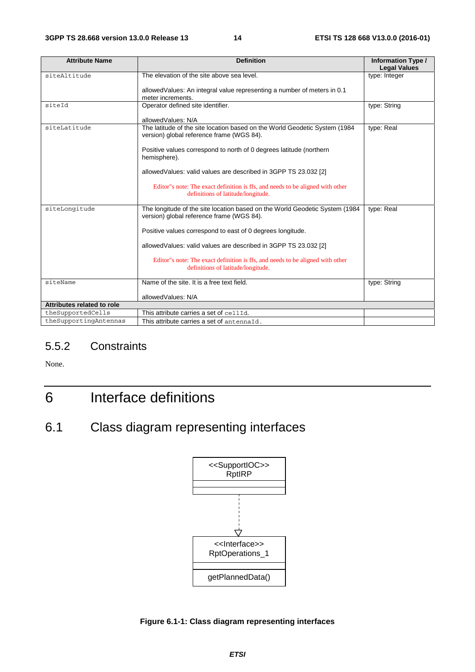| <b>Attribute Name</b>      | <b>Definition</b>                                                                                                        | <b>Information Type /</b> |
|----------------------------|--------------------------------------------------------------------------------------------------------------------------|---------------------------|
| siteAltitude               | The elevation of the site above sea level.                                                                               | <b>Legal Values</b>       |
|                            |                                                                                                                          | type: Integer             |
|                            | allowed Values: An integral value representing a number of meters in 0.1                                                 |                           |
|                            | meter increments.                                                                                                        |                           |
| siteId                     | Operator defined site identifier.                                                                                        | type: String              |
|                            |                                                                                                                          |                           |
|                            | allowedValues: N/A                                                                                                       |                           |
| siteLatitude               | The latitude of the site location based on the World Geodetic System (1984<br>version) global reference frame (WGS 84).  | type: Real                |
|                            | Positive values correspond to north of 0 degrees latitude (northern<br>hemisphere).                                      |                           |
|                            | allowedValues: valid values are described in 3GPP TS 23.032 [2]                                                          |                           |
|                            | Editor"s note: The exact definition is ffs, and needs to be aligned with other<br>definitions of latitude/longitude.     |                           |
| siteLongitude              | The longitude of the site location based on the World Geodetic System (1984<br>version) global reference frame (WGS 84). | type: Real                |
|                            | Positive values correspond to east of 0 degrees longitude.                                                               |                           |
|                            | allowed Values: valid values are described in 3GPP TS 23.032 [2]                                                         |                           |
|                            | Editor"s note: The exact definition is ffs, and needs to be aligned with other<br>definitions of latitude/longitude.     |                           |
| siteName                   | Name of the site. It is a free text field.                                                                               | type: String              |
|                            | allowedValues: N/A                                                                                                       |                           |
| Attributes related to role |                                                                                                                          |                           |
| theSupportedCells          | This attribute carries a set of cellId.                                                                                  |                           |
| theSupportingAntennas      | This attribute carries a set of antennaId.                                                                               |                           |

## 5.5.2 Constraints

None.

## 6 Interface definitions

## 6.1 Class diagram representing interfaces



**Figure 6.1-1: Class diagram representing interfaces**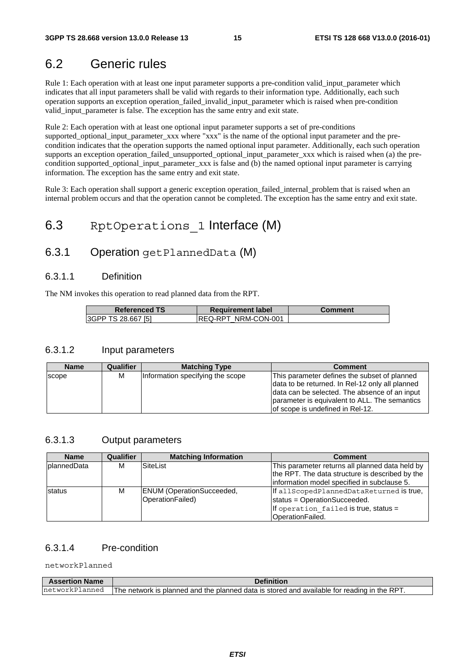## 6.2 Generic rules

Rule 1: Each operation with at least one input parameter supports a pre-condition valid\_input\_parameter which indicates that all input parameters shall be valid with regards to their information type. Additionally, each such operation supports an exception operation\_failed\_invalid\_input\_parameter which is raised when pre-condition valid\_input\_parameter is false. The exception has the same entry and exit state.

Rule 2: Each operation with at least one optional input parameter supports a set of pre-conditions supported optional input parameter xxx where "xxx" is the name of the optional input parameter and the precondition indicates that the operation supports the named optional input parameter. Additionally, each such operation supports an exception operation\_failed\_unsupported\_optional\_input\_parameter\_xxx which is raised when (a) the precondition supported optional input parameter xxx is false and (b) the named optional input parameter is carrying information. The exception has the same entry and exit state.

Rule 3: Each operation shall support a generic exception operation failed internal problem that is raised when an internal problem occurs and that the operation cannot be completed. The exception has the same entry and exit state.

## 6.3 RptOperations 1 Interface (M)

## 6.3.1 Operation getPlannedData (M)

### 6.3.1.1 Definition

The NM invokes this operation to read planned data from the RPT.

| <b>Referenced TS</b> | <b>Requirement label</b> | <b>Comment</b> |
|----------------------|--------------------------|----------------|
| 3GPP TS 28.667 [5]   | IREQ-RPT NRM-CON-001     |                |

#### 6.3.1.2 Input parameters

| <b>Name</b>  | Qualifier | <b>Matching Type</b>             | <b>Comment</b>                                                                                                                                                                                                                         |
|--------------|-----------|----------------------------------|----------------------------------------------------------------------------------------------------------------------------------------------------------------------------------------------------------------------------------------|
| <b>SCODE</b> | м         | Information specifying the scope | This parameter defines the subset of planned<br>data to be returned. In Rel-12 only all planned<br>data can be selected. The absence of an input<br>parameter is equivalent to ALL. The semantics<br>lof scope is undefined in Rel-12. |

#### 6.3.1.3 Output parameters

| <b>Name</b>        | Qualifier | <b>Matching Information</b>                          | <b>Comment</b>                                                                                                                                    |
|--------------------|-----------|------------------------------------------------------|---------------------------------------------------------------------------------------------------------------------------------------------------|
| <b>plannedData</b> | м         | SiteList                                             | This parameter returns all planned data held by<br>the RPT. The data structure is described by the<br>information model specified in subclause 5. |
| status             | М         | <b>ENUM</b> (OperationSucceeded,<br>OperationFailed) | If all ScopedPlannedDataReturned is true,<br>status = OperationSucceeded.<br>If operation failed is true, status =<br>OperationFailed.            |

### 6.3.1.4 Pre-condition

networkPlanned

| <b>Assertion Name</b> | <b>Definition</b>                                                                           |
|-----------------------|---------------------------------------------------------------------------------------------|
| networkPlanned        | The network is planned and the planned data is stored and available for reading in the RPT. |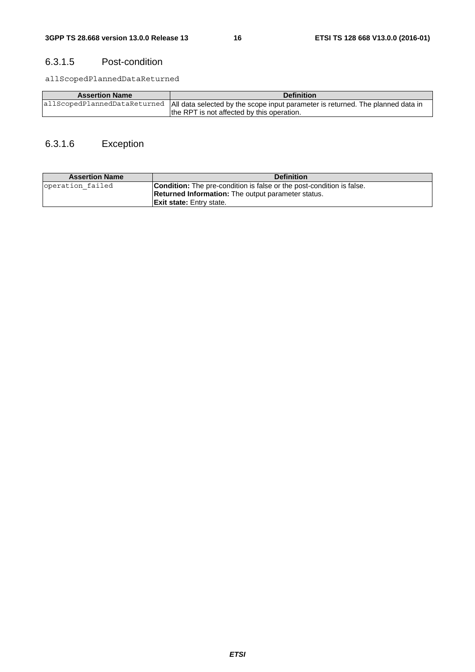### 6.3.1.5 Post-condition

allScopedPlannedDataReturned

| <b>Assertion Name</b> | <b>Definition</b>                                                                                              |
|-----------------------|----------------------------------------------------------------------------------------------------------------|
|                       | allScopedPlannedDataReturned   All data selected by the scope input parameter is returned. The planned data in |
|                       | the RPT is not affected by this operation.                                                                     |

## 6.3.1.6 Exception

| <b>Assertion Name</b> | <b>Definition</b>                                                            |
|-----------------------|------------------------------------------------------------------------------|
| operation failed      | <b>Condition:</b> The pre-condition is false or the post-condition is false. |
|                       | <b>Returned Information:</b> The output parameter status.                    |
|                       | <b>Exit state:</b> Entry state.                                              |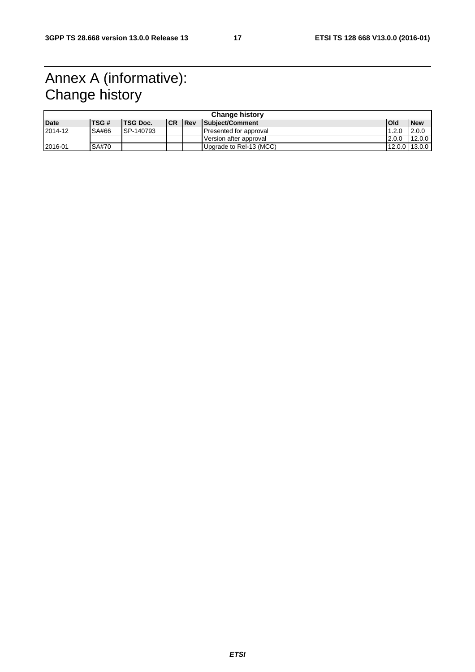## Annex A (informative): Change history

|         | <b>Change history</b> |       |                 |            |             |                         |                |            |
|---------|-----------------------|-------|-----------------|------------|-------------|-------------------------|----------------|------------|
| Date    |                       | TSG # | <b>TSG Doc.</b> | <b>ICR</b> | <b>IRev</b> | Subject/Comment         | Old            | <b>New</b> |
| 2014-12 |                       | SA#66 | SP-140793       |            |             | Presented for approval  | 1.2.0          | 12.0.0     |
|         |                       |       |                 |            |             | Version after approval  | 2.0.0          | 12.0.0     |
| 2016-01 |                       | SA#70 |                 |            |             | Upgrade to Rel-13 (MCC) | 12.0.0 113.0.0 |            |